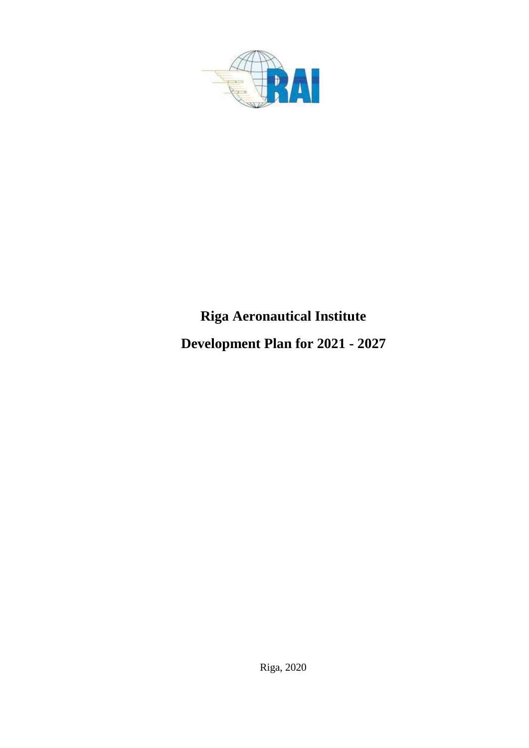

# **Riga Aeronautical Institute**

**Development Plan for 2021 - 2027**

Riga, 2020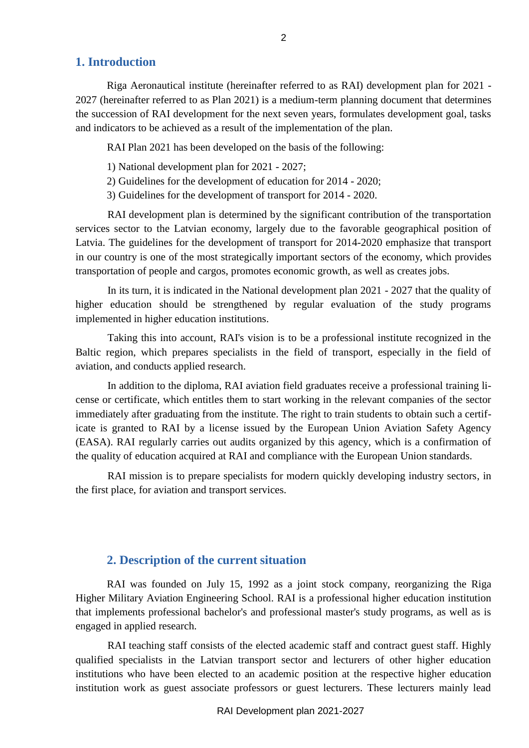#### **1. Introduction**

Riga Aeronautical institute (hereinafter referred to as RAI) development plan for 2021 - 2027 (hereinafter referred to as Plan 2021) is a medium-term planning document that determines the succession of RAI development for the next seven years, formulates development goal, tasks and indicators to be achieved as a result of the implementation of the plan.

RAI Plan 2021 has been developed on the basis of the following:

- 1) National development plan for 2021 2027;
- 2) Guidelines for the development of education for 2014 2020;
- 3) Guidelines for the development of transport for 2014 2020.

RAI development plan is determined by the significant contribution of the transportation services sector to the Latvian economy, largely due to the favorable geographical position of Latvia. The guidelines for the development of transport for 2014-2020 emphasize that transport in our country is one of the most strategically important sectors of the economy, which provides transportation of people and cargos, promotes economic growth, as well as creates jobs.

In its turn, it is indicated in the National development plan 2021 - 2027 that the quality of higher education should be strengthened by regular evaluation of the study programs implemented in higher education institutions.

Taking this into account, RAI's vision is to be a professional institute recognized in the Baltic region, which prepares specialists in the field of transport, especially in the field of aviation, and conducts applied research.

In addition to the diploma, RAI aviation field graduates receive a professional training license or certificate, which entitles them to start working in the relevant companies of the sector immediately after graduating from the institute. The right to train students to obtain such a certificate is granted to RAI by a license issued by the European Union Aviation Safety Agency (EASA). RAI regularly carries out audits organized by this agency, which is a confirmation of the quality of education acquired at RAI and compliance with the European Union standards.

RAI mission is to prepare specialists for modern quickly developing industry sectors, in the first place, for aviation and transport services.

## **2. Description of the current situation**

RAI was founded on July 15, 1992 as a joint stock company, reorganizing the Riga Higher Military Aviation Engineering School. RAI is a professional higher education institution that implements professional bachelor's and professional master's study programs, as well as is engaged in applied research.

RAI teaching staff consists of the elected academic staff and contract guest staff. Highly qualified specialists in the Latvian transport sector and lecturers of other higher education institutions who have been elected to an academic position at the respective higher education institution work as guest associate professors or guest lecturers. These lecturers mainly lead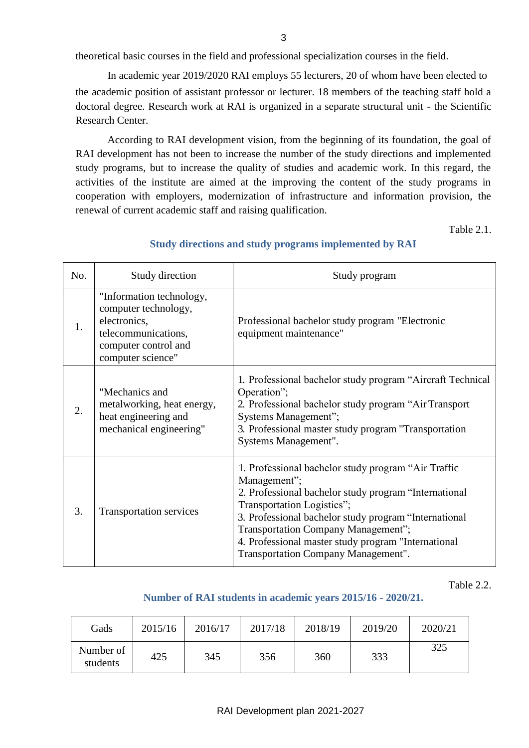3

theoretical basic courses in the field and professional specialization courses in the field.

In academic year 2019/2020 RAI employs 55 lecturers, 20 of whom have been elected to the academic position of assistant professor or lecturer. 18 members of the teaching staff hold a doctoral degree. Research work at RAI is organized in a separate structural unit - the Scientific Research Center.

According to RAI development vision, from the beginning of its foundation, the goal of RAI development has not been to increase the number of the study directions and implemented study programs, but to increase the quality of studies and academic work. In this regard, the activities of the institute are aimed at the improving the content of the study programs in cooperation with employers, modernization of infrastructure and information provision, the renewal of current academic staff and raising qualification.

Table 2.1.

| No.              | Study direction                                                                                                                      | Study program                                                                                                                                                                                                                                                                                                                                            |
|------------------|--------------------------------------------------------------------------------------------------------------------------------------|----------------------------------------------------------------------------------------------------------------------------------------------------------------------------------------------------------------------------------------------------------------------------------------------------------------------------------------------------------|
| 1.               | "Information technology,<br>computer technology,<br>electronics,<br>telecommunications,<br>computer control and<br>computer science" | Professional bachelor study program "Electronic<br>equipment maintenance"                                                                                                                                                                                                                                                                                |
| $\overline{2}$ . | "Mechanics and<br>metalworking, heat energy,<br>heat engineering and<br>mechanical engineering"                                      | 1. Professional bachelor study program "Aircraft Technical<br>Operation";<br>2. Professional bachelor study program "Air Transport<br>Systems Management";<br>3. Professional master study program "Transportation<br>Systems Management".                                                                                                               |
| 3.               | Transportation services                                                                                                              | 1. Professional bachelor study program "Air Traffic<br>Management";<br>2. Professional bachelor study program "International<br>Transportation Logistics";<br>3. Professional bachelor study program "International<br>Transportation Company Management";<br>4. Professional master study program "International<br>Transportation Company Management". |

#### **Study directions and study programs implemented by RAI**

Table 2.2.

#### **Number of RAI students in academic years 2015/16 - 2020/21.**

| Gads                  | 2015/16 | 2016/17 | 2017/18 | 2018/19 | 2019/20 | 2020/21 |
|-----------------------|---------|---------|---------|---------|---------|---------|
| Number of<br>students | 425     | 345     | 356     | 360     | 333     | 325     |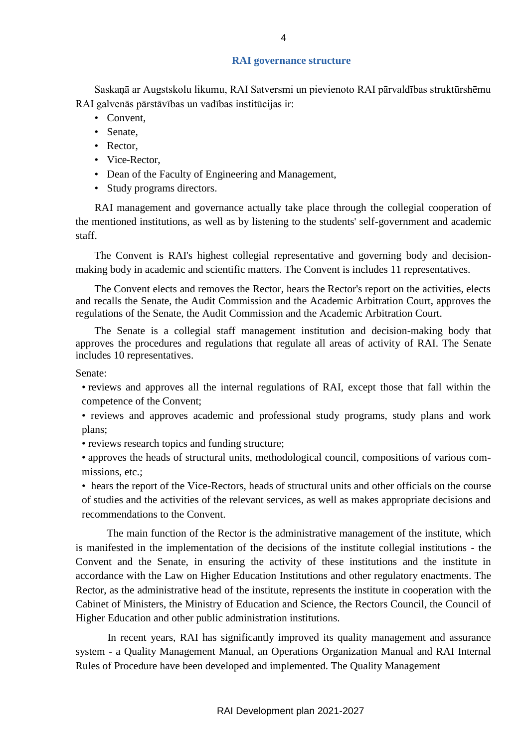#### **RAI governance structure**

Saskaņā ar Augstskolu likumu, RAI Satversmi un pievienoto RAI pārvaldības struktūrshēmu RAI galvenās pārstāvības un vadības institūcijas ir:

- Convent,
- Senate,
- Rector,
- Vice-Rector,
- Dean of the Faculty of Engineering and Management,
- Study programs directors.

RAI management and governance actually take place through the collegial cooperation of the mentioned institutions, as well as by listening to the students' self-government and academic staff.

The Convent is RAI's highest collegial representative and governing body and decisionmaking body in academic and scientific matters. The Convent is includes 11 representatives.

The Convent elects and removes the Rector, hears the Rector's report on the activities, elects and recalls the Senate, the Audit Commission and the Academic Arbitration Court, approves the regulations of the Senate, the Audit Commission and the Academic Arbitration Court.

The Senate is a collegial staff management institution and decision-making body that approves the procedures and regulations that regulate all areas of activity of RAI. The Senate includes 10 representatives.

Senate:

- reviews and approves all the internal regulations of RAI, except those that fall within the competence of the Convent;
- reviews and approves academic and professional study programs, study plans and work plans;

• reviews research topics and funding structure;

• approves the heads of structural units, methodological council, compositions of various commissions, etc.;

• hears the report of the Vice-Rectors, heads of structural units and other officials on the course of studies and the activities of the relevant services, as well as makes appropriate decisions and recommendations to the Convent.

The main function of the Rector is the administrative management of the institute, which is manifested in the implementation of the decisions of the institute collegial institutions - the Convent and the Senate, in ensuring the activity of these institutions and the institute in accordance with the Law on Higher Education Institutions and other regulatory enactments. The Rector, as the administrative head of the institute, represents the institute in cooperation with the Cabinet of Ministers, the Ministry of Education and Science, the Rectors Council, the Council of Higher Education and other public administration institutions.

In recent years, RAI has significantly improved its quality management and assurance system - a Quality Management Manual, an Operations Organization Manual and RAI Internal Rules of Procedure have been developed and implemented. The Quality Management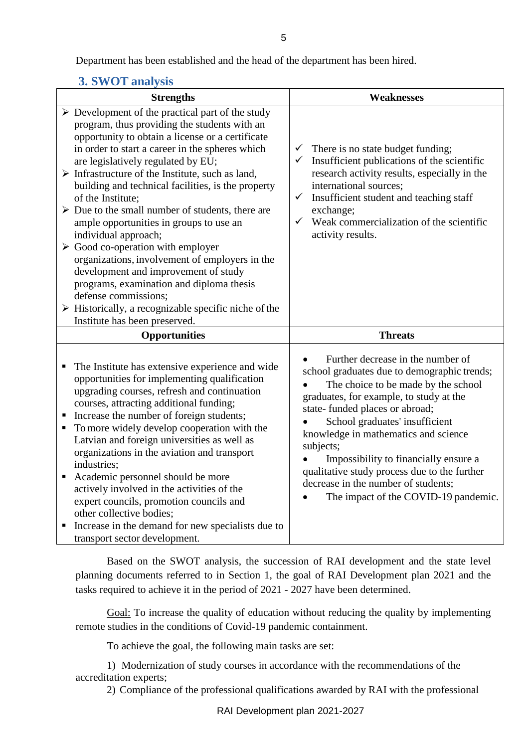Department has been established and the head of the department has been hired.

## **3. SWOT analysis**

| <b>Strengths</b>                                                                                                                                                                                                                                                                                                                                                                                                                                                                                                                                                                                                                                                                                                                                                                                                                                                           | <b>Weaknesses</b>                                                                                                                                                                                                                                                                                                                                                                                                                                                   |  |  |  |
|----------------------------------------------------------------------------------------------------------------------------------------------------------------------------------------------------------------------------------------------------------------------------------------------------------------------------------------------------------------------------------------------------------------------------------------------------------------------------------------------------------------------------------------------------------------------------------------------------------------------------------------------------------------------------------------------------------------------------------------------------------------------------------------------------------------------------------------------------------------------------|---------------------------------------------------------------------------------------------------------------------------------------------------------------------------------------------------------------------------------------------------------------------------------------------------------------------------------------------------------------------------------------------------------------------------------------------------------------------|--|--|--|
| $\triangleright$ Development of the practical part of the study<br>program, thus providing the students with an<br>opportunity to obtain a license or a certificate<br>in order to start a career in the spheres which<br>are legislatively regulated by EU;<br>$\triangleright$ Infrastructure of the Institute, such as land,<br>building and technical facilities, is the property<br>of the Institute:<br>$\triangleright$ Due to the small number of students, there are<br>ample opportunities in groups to use an<br>individual approach;<br>$\triangleright$ Good co-operation with employer<br>organizations, involvement of employers in the<br>development and improvement of study<br>programs, examination and diploma thesis<br>defense commissions;<br>$\triangleright$ Historically, a recognizable specific niche of the<br>Institute has been preserved. | $\checkmark$ There is no state budget funding;<br>$\checkmark$ Insufficient publications of the scientific<br>research activity results, especially in the<br>international sources;<br>$\checkmark$<br>Insufficient student and teaching staff<br>exchange;<br>Weak commercialization of the scientific<br>$\checkmark$<br>activity results.                                                                                                                       |  |  |  |
| <b>Opportunities</b>                                                                                                                                                                                                                                                                                                                                                                                                                                                                                                                                                                                                                                                                                                                                                                                                                                                       | <b>Threats</b>                                                                                                                                                                                                                                                                                                                                                                                                                                                      |  |  |  |
| The Institute has extensive experience and wide<br>٠<br>opportunities for implementing qualification<br>upgrading courses, refresh and continuation<br>courses, attracting additional funding;<br>Increase the number of foreign students;<br>$\blacksquare$<br>To more widely develop cooperation with the<br>$\blacksquare$<br>Latvian and foreign universities as well as<br>organizations in the aviation and transport<br>industries;<br>Academic personnel should be more<br>$\blacksquare$<br>actively involved in the activities of the<br>expert councils, promotion councils and<br>other collective bodies;<br>Increase in the demand for new specialists due to<br>п<br>transport sector development.                                                                                                                                                          | Further decrease in the number of<br>school graduates due to demographic trends;<br>The choice to be made by the school<br>graduates, for example, to study at the<br>state-funded places or abroad;<br>School graduates' insufficient<br>knowledge in mathematics and science<br>subjects;<br>Impossibility to financially ensure a<br>qualitative study process due to the further<br>decrease in the number of students;<br>The impact of the COVID-19 pandemic. |  |  |  |

Based on the SWOT analysis, the succession of RAI development and the state level planning documents referred to in Section 1, the goal of RAI Development plan 2021 and the tasks required to achieve it in the period of 2021 - 2027 have been determined.

Goal: To increase the quality of education without reducing the quality by implementing remote studies in the conditions of Covid-19 pandemic containment.

To achieve the goal, the following main tasks are set:

1) Modernization of study courses in accordance with the recommendations of the accreditation experts;

2) Compliance of the professional qualifications awarded by RAI with the professional